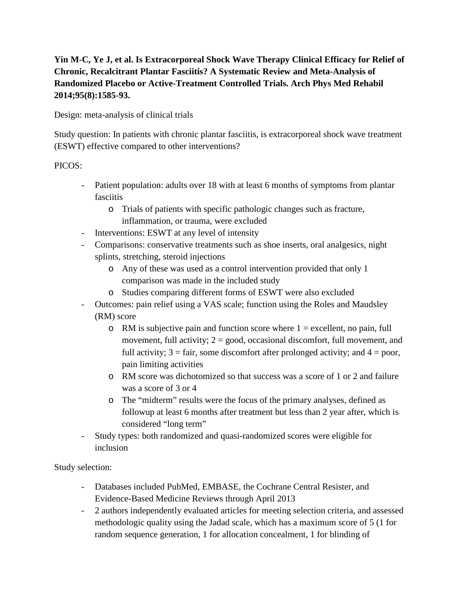## **Yin M-C, Ye J, et al. Is Extracorporeal Shock Wave Therapy Clinical Efficacy for Relief of Chronic, Recalcitrant Plantar Fasciitis? A Systematic Review and Meta-Analysis of Randomized Placebo or Active-Treatment Controlled Trials. Arch Phys Med Rehabil 2014;95(8):1585-93.**

Design: meta-analysis of clinical trials

Study question: In patients with chronic plantar fasciitis, is extracorporeal shock wave treatment (ESWT) effective compared to other interventions?

## PICOS:

- Patient population: adults over 18 with at least 6 months of symptoms from plantar fasciitis
	- o Trials of patients with specific pathologic changes such as fracture, inflammation, or trauma, were excluded
- Interventions: ESWT at any level of intensity
- Comparisons: conservative treatments such as shoe inserts, oral analgesics, night splints, stretching, steroid injections
	- o Any of these was used as a control intervention provided that only 1 comparison was made in the included study
	- o Studies comparing different forms of ESWT were also excluded
- Outcomes: pain relief using a VAS scale; function using the Roles and Maudsley (RM) score
	- $\circ$  RM is subjective pain and function score where  $1 =$  excellent, no pain, full movement, full activity;  $2 = \text{good}$ , occasional discomfort, full movement, and full activity;  $3 = \text{fair}$ , some discomfort after prolonged activity; and  $4 = \text{poor}$ , pain limiting activities
	- o RM score was dichotomized so that success was a score of 1 or 2 and failure was a score of 3 or 4
	- o The "midterm" results were the focus of the primary analyses, defined as followup at least 6 months after treatment but less than 2 year after, which is considered "long term"
- Study types: both randomized and quasi-randomized scores were eligible for inclusion

Study selection:

- Databases included PubMed, EMBASE, the Cochrane Central Resister, and Evidence-Based Medicine Reviews through April 2013
- 2 authors independently evaluated articles for meeting selection criteria, and assessed methodologic quality using the Jadad scale, which has a maximum score of 5 (1 for random sequence generation, 1 for allocation concealment, 1 for blinding of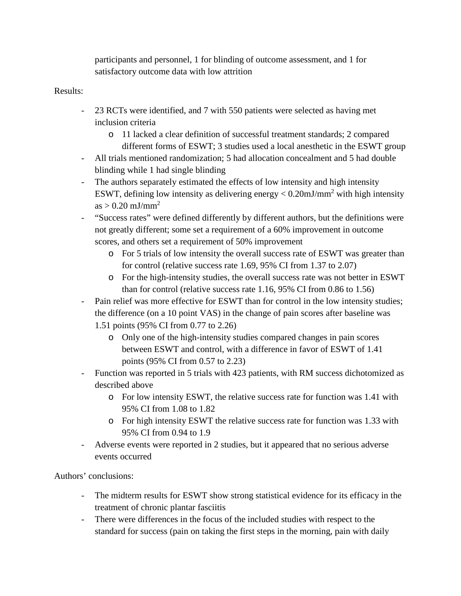participants and personnel, 1 for blinding of outcome assessment, and 1 for satisfactory outcome data with low attrition

## Results:

- 23 RCTs were identified, and 7 with 550 patients were selected as having met inclusion criteria
	- o 11 lacked a clear definition of successful treatment standards; 2 compared different forms of ESWT; 3 studies used a local anesthetic in the ESWT group
- All trials mentioned randomization; 5 had allocation concealment and 5 had double blinding while 1 had single blinding
- The authors separately estimated the effects of low intensity and high intensity ESWT, defining low intensity as delivering energy  $< 0.20 \text{mJ/mm}^2$  with high intensity  $as > 0.20$  mJ/mm<sup>2</sup>
- "Success rates" were defined differently by different authors, but the definitions were not greatly different; some set a requirement of a 60% improvement in outcome scores, and others set a requirement of 50% improvement
	- o For 5 trials of low intensity the overall success rate of ESWT was greater than for control (relative success rate 1.69, 95% CI from 1.37 to 2.07)
	- o For the high-intensity studies, the overall success rate was not better in ESWT than for control (relative success rate 1.16, 95% CI from 0.86 to 1.56)
- Pain relief was more effective for ESWT than for control in the low intensity studies; the difference (on a 10 point VAS) in the change of pain scores after baseline was 1.51 points (95% CI from 0.77 to 2.26)
	- o Only one of the high-intensity studies compared changes in pain scores between ESWT and control, with a difference in favor of ESWT of 1.41 points (95% CI from 0.57 to 2.23)
- Function was reported in 5 trials with 423 patients, with RM success dichotomized as described above
	- o For low intensity ESWT, the relative success rate for function was 1.41 with 95% CI from 1.08 to 1.82
	- o For high intensity ESWT the relative success rate for function was 1.33 with 95% CI from 0.94 to 1.9
- Adverse events were reported in 2 studies, but it appeared that no serious adverse events occurred

Authors' conclusions:

- The midterm results for ESWT show strong statistical evidence for its efficacy in the treatment of chronic plantar fasciitis
- There were differences in the focus of the included studies with respect to the standard for success (pain on taking the first steps in the morning, pain with daily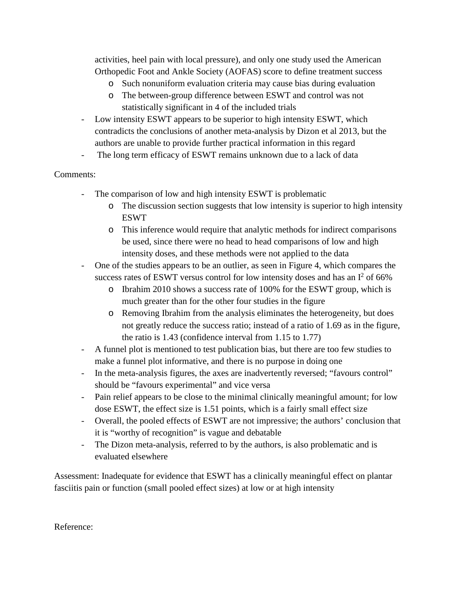activities, heel pain with local pressure), and only one study used the American Orthopedic Foot and Ankle Society (AOFAS) score to define treatment success

- o Such nonuniform evaluation criteria may cause bias during evaluation
- o The between-group difference between ESWT and control was not statistically significant in 4 of the included trials
- Low intensity ESWT appears to be superior to high intensity ESWT, which contradicts the conclusions of another meta-analysis by Dizon et al 2013, but the authors are unable to provide further practical information in this regard
- The long term efficacy of ESWT remains unknown due to a lack of data

## Comments:

- The comparison of low and high intensity ESWT is problematic
	- o The discussion section suggests that low intensity is superior to high intensity ESWT
	- o This inference would require that analytic methods for indirect comparisons be used, since there were no head to head comparisons of low and high intensity doses, and these methods were not applied to the data
- One of the studies appears to be an outlier, as seen in Figure 4, which compares the success rates of ESWT versus control for low intensity doses and has an  $I^2$  of 66%
	- o Ibrahim 2010 shows a success rate of 100% for the ESWT group, which is much greater than for the other four studies in the figure
	- o Removing Ibrahim from the analysis eliminates the heterogeneity, but does not greatly reduce the success ratio; instead of a ratio of 1.69 as in the figure, the ratio is 1.43 (confidence interval from 1.15 to 1.77)
- A funnel plot is mentioned to test publication bias, but there are too few studies to make a funnel plot informative, and there is no purpose in doing one
- In the meta-analysis figures, the axes are inadvertently reversed; "favours control" should be "favours experimental" and vice versa
- Pain relief appears to be close to the minimal clinically meaningful amount; for low dose ESWT, the effect size is 1.51 points, which is a fairly small effect size
- Overall, the pooled effects of ESWT are not impressive; the authors' conclusion that it is "worthy of recognition" is vague and debatable
- The Dizon meta-analysis, referred to by the authors, is also problematic and is evaluated elsewhere

Assessment: Inadequate for evidence that ESWT has a clinically meaningful effect on plantar fasciitis pain or function (small pooled effect sizes) at low or at high intensity

Reference: